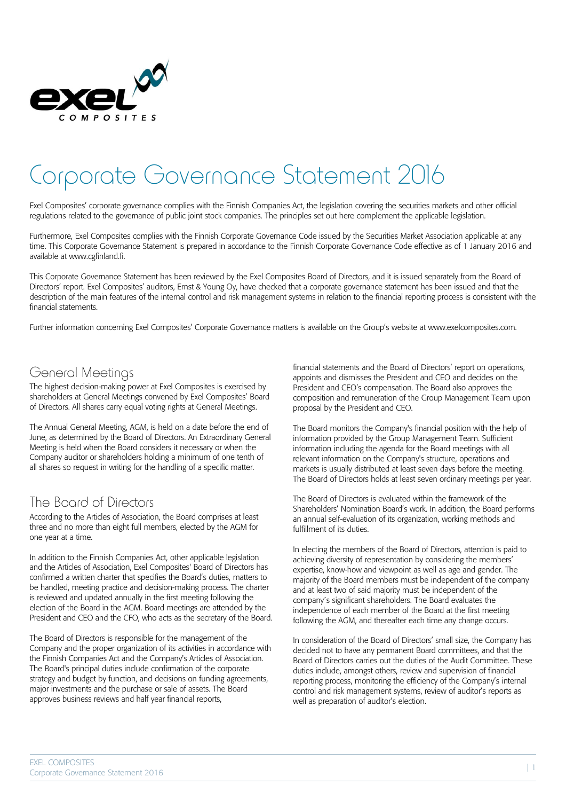

# Corporate Governance Statement 2016

Exel Composites' corporate governance complies with the Finnish Companies Act, the legislation covering the securities markets and other official regulations related to the governance of public joint stock companies. The principles set out here complement the applicable legislation.

Furthermore, Exel Composites complies with the Finnish Corporate Governance Code issued by the Securities Market Association applicable at any time. This Corporate Governance Statement is prepared in accordance to the Finnish Corporate Governance Code effective as of 1 January 2016 and available at www.cgfinland.fi.

This Corporate Governance Statement has been reviewed by the Exel Composites Board of Directors, and it is issued separately from the Board of Directors' report. Exel Composites' auditors, Ernst & Young Oy, have checked that a corporate governance statement has been issued and that the description of the main features of the internal control and risk management systems in relation to the financial reporting process is consistent with the financial statements.

Further information concerning Exel Composites' Corporate Governance matters is available on the Group's website at www.exelcomposites.com.

#### General Meetings

The highest decision-making power at Exel Composites is exercised by shareholders at General Meetings convened by Exel Composites' Board of Directors. All shares carry equal voting rights at General Meetings.

The Annual General Meeting, AGM, is held on a date before the end of June, as determined by the Board of Directors. An Extraordinary General Meeting is held when the Board considers it necessary or when the Company auditor or shareholders holding a minimum of one tenth of all shares so request in writing for the handling of a specific matter.

#### The Board of Directors

According to the Articles of Association, the Board comprises at least three and no more than eight full members, elected by the AGM for one year at a time.

In addition to the Finnish Companies Act, other applicable legislation and the Articles of Association, Exel Composites' Board of Directors has confirmed a written charter that specifies the Board's duties, matters to be handled, meeting practice and decision-making process. The charter is reviewed and updated annually in the first meeting following the election of the Board in the AGM. Board meetings are attended by the President and CEO and the CFO, who acts as the secretary of the Board.

The Board of Directors is responsible for the management of the Company and the proper organization of its activities in accordance with the Finnish Companies Act and the Company's Articles of Association. The Board's principal duties include confirmation of the corporate strategy and budget by function, and decisions on funding agreements, major investments and the purchase or sale of assets. The Board approves business reviews and half year financial reports,

financial statements and the Board of Directors' report on operations, appoints and dismisses the President and CEO and decides on the President and CEO's compensation. The Board also approves the composition and remuneration of the Group Management Team upon proposal by the President and CEO.

The Board monitors the Company's financial position with the help of information provided by the Group Management Team. Sufficient information including the agenda for the Board meetings with all relevant information on the Company's structure, operations and markets is usually distributed at least seven days before the meeting. The Board of Directors holds at least seven ordinary meetings per year.

The Board of Directors is evaluated within the framework of the Shareholders' Nomination Board's work. In addition, the Board performs an annual self-evaluation of its organization, working methods and fulfillment of its duties.

In electing the members of the Board of Directors, attention is paid to achieving diversity of representation by considering the members' expertise, know-how and viewpoint as well as age and gender. The majority of the Board members must be independent of the company and at least two of said majority must be independent of the company´s significant shareholders. The Board evaluates the independence of each member of the Board at the first meeting following the AGM, and thereafter each time any change occurs.

In consideration of the Board of Directors' small size, the Company has decided not to have any permanent Board committees, and that the Board of Directors carries out the duties of the Audit Committee. These duties include, amongst others, review and supervision of financial reporting process, monitoring the efficiency of the Company's internal control and risk management systems, review of auditor's reports as well as preparation of auditor's election.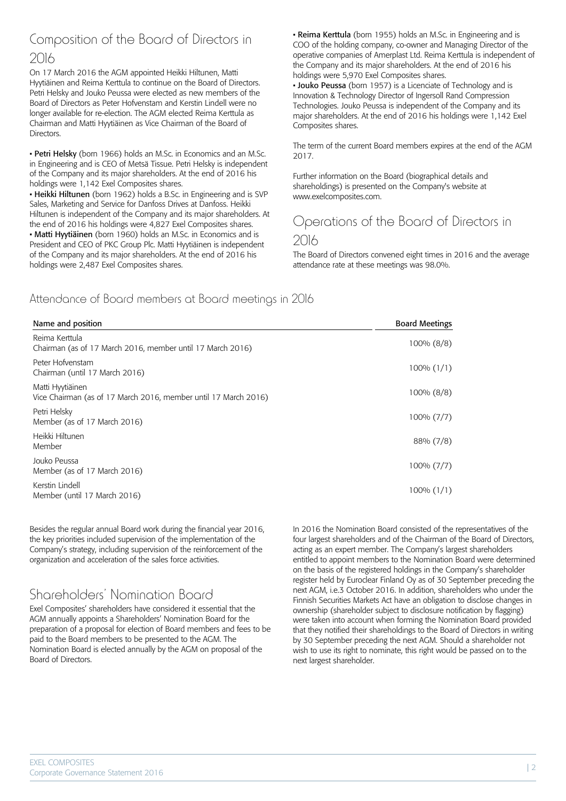## Composition of the Board of Directors in 2016

On 17 March 2016 the AGM appointed Heikki Hiltunen, Matti Hyytiäinen and Reima Kerttula to continue on the Board of Directors. Petri Helsky and Jouko Peussa were elected as new members of the Board of Directors as Peter Hofvenstam and Kerstin Lindell were no longer available for re-election. The AGM elected Reima Kerttula as Chairman and Matti Hyytiäinen as Vice Chairman of the Board of Directors.

• Petri Helsky (born 1966) holds an M.Sc. in Economics and an M.Sc. in Engineering and is CEO of Metsä Tissue. Petri Helsky is independent of the Company and its major shareholders. At the end of 2016 his holdings were 1,142 Exel Composites shares.

• Heikki Hiltunen (born 1962) holds a B.Sc. in Engineering and is SVP Sales, Marketing and Service for Danfoss Drives at Danfoss. Heikki Hiltunen is independent of the Company and its major shareholders. At the end of 2016 his holdings were 4,827 Exel Composites shares. • Matti Hyytiäinen (born 1960) holds an M.Sc. in Economics and is President and CEO of PKC Group Plc. Matti Hyytiäinen is independent of the Company and its major shareholders. At the end of 2016 his holdings were 2,487 Exel Composites shares.

• Reima Kerttula (born 1955) holds an M.Sc. in Engineering and is COO of the holding company, co-owner and Managing Director of the operative companies of Amerplast Ltd. Reima Kerttula is independent of the Company and its major shareholders. At the end of 2016 his holdings were 5,970 Exel Composites shares.

• Jouko Peussa (born 1957) is a Licenciate of Technology and is Innovation & Technology Director of Ingersoll Rand Compression Technologies. Jouko Peussa is independent of the Company and its major shareholders. At the end of 2016 his holdings were 1,142 Exel Composites shares.

The term of the current Board members expires at the end of the AGM 2017.

Further information on the Board (biographical details and shareholdings) is presented on the Company's website at www.exelcomposites.com.

# Operations of the Board of Directors in

#### 2016

The Board of Directors convened eight times in 2016 and the average attendance rate at these meetings was 98.0%.

#### Attendance of Board members at Board meetings in 2016

| Name and position                                                                   | <b>Board Meetings</b> |
|-------------------------------------------------------------------------------------|-----------------------|
| Reima Kerttula<br>Chairman (as of 17 March 2016, member until 17 March 2016)        | $100\% (8/8)$         |
| Peter Hofvenstam<br>Chairman (until 17 March 2016)                                  | $100\% (1/1)$         |
| Matti Hyytiäinen<br>Vice Chairman (as of 17 March 2016, member until 17 March 2016) | $100\% (8/8)$         |
| Petri Helsky<br>Member (as of 17 March 2016)                                        | $100\% (7/7)$         |
| Heikki Hiltunen<br>Member                                                           | 88% (7/8)             |
| Jouko Peussa<br>Member (as of 17 March 2016)                                        | $100\% (7/7)$         |
| Kerstin Lindell<br>Member (until 17 March 2016)                                     | $100\% (1/1)$         |

Besides the regular annual Board work during the financial year 2016, the key priorities included supervision of the implementation of the Company's strategy, including supervision of the reinforcement of the organization and acceleration of the sales force activities.

## Shareholders' Nomination Board

Exel Composites' shareholders have considered it essential that the AGM annually appoints a Shareholders' Nomination Board for the preparation of a proposal for election of Board members and fees to be paid to the Board members to be presented to the AGM. The Nomination Board is elected annually by the AGM on proposal of the Board of Directors.

In 2016 the Nomination Board consisted of the representatives of the four largest shareholders and of the Chairman of the Board of Directors, acting as an expert member. The Company's largest shareholders entitled to appoint members to the Nomination Board were determined on the basis of the registered holdings in the Company's shareholder register held by Euroclear Finland Oy as of 30 September preceding the next AGM, i.e.3 October 2016. In addition, shareholders who under the Finnish Securities Markets Act have an obligation to disclose changes in ownership (shareholder subject to disclosure notification by flagging) were taken into account when forming the Nomination Board provided that they notified their shareholdings to the Board of Directors in writing by 30 September preceding the next AGM. Should a shareholder not wish to use its right to nominate, this right would be passed on to the next largest shareholder.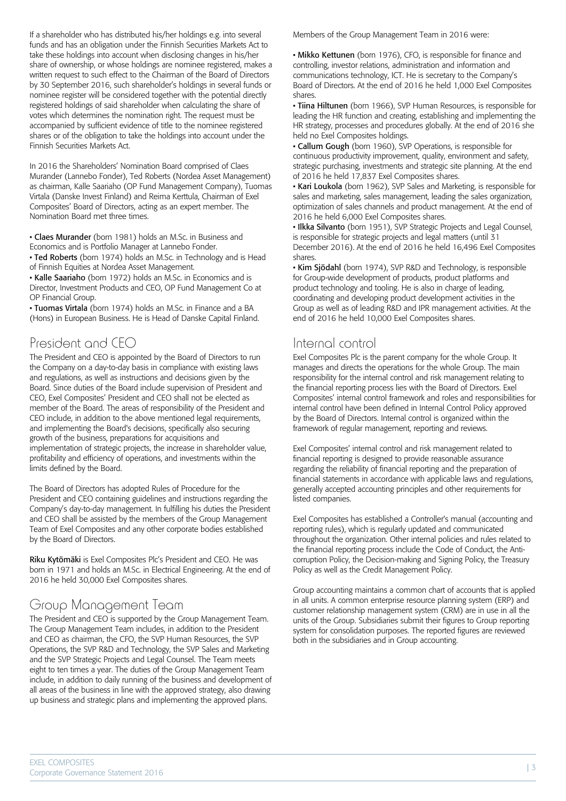If a shareholder who has distributed his/her holdings e.g. into several funds and has an obligation under the Finnish Securities Markets Act to take these holdings into account when disclosing changes in his/her share of ownership, or whose holdings are nominee registered, makes a written request to such effect to the Chairman of the Board of Directors by 30 September 2016, such shareholder's holdings in several funds or nominee register will be considered together with the potential directly registered holdings of said shareholder when calculating the share of votes which determines the nomination right. The request must be accompanied by sufficient evidence of title to the nominee registered shares or of the obligation to take the holdings into account under the Finnish Securities Markets Act.

In 2016 the Shareholders' Nomination Board comprised of Claes Murander (Lannebo Fonder), Ted Roberts (Nordea Asset Management) as chairman, Kalle Saariaho (OP Fund Management Company), Tuomas Virtala (Danske Invest Finland) and Reima Kerttula, Chairman of Exel Composites' Board of Directors, acting as an expert member. The Nomination Board met three times.

• Claes Murander (born 1981) holds an M.Sc. in Business and Economics and is Portfolio Manager at Lannebo Fonder.

• Ted Roberts (born 1974) holds an M.Sc. in Technology and is Head of Finnish Equities at Nordea Asset Management.

• Kalle Saariaho (born 1972) holds an M.Sc. in Economics and is Director, Investment Products and CEO, OP Fund Management Co at OP Financial Group.

• Tuomas Virtala (born 1974) holds an M.Sc. in Finance and a BA (Hons) in European Business. He is Head of Danske Capital Finland.

## President and CEO

The President and CEO is appointed by the Board of Directors to run the Company on a day-to-day basis in compliance with existing laws and regulations, as well as instructions and decisions given by the Board. Since duties of the Board include supervision of President and CEO, Exel Composites' President and CEO shall not be elected as member of the Board. The areas of responsibility of the President and CEO include, in addition to the above mentioned legal requirements, and implementing the Board's decisions, specifically also securing growth of the business, preparations for acquisitions and implementation of strategic projects, the increase in shareholder value, profitability and efficiency of operations, and investments within the limits defined by the Board.

The Board of Directors has adopted Rules of Procedure for the President and CEO containing guidelines and instructions regarding the Company's day-to-day management. In fulfilling his duties the President and CEO shall be assisted by the members of the Group Management Team of Exel Composites and any other corporate bodies established by the Board of Directors.

Riku Kytömäki is Exel Composites Plc's President and CEO. He was born in 1971 and holds an M.Sc. in Electrical Engineering. At the end of 2016 he held 30,000 Exel Composites shares.

## Group Management Team

The President and CEO is supported by the Group Management Team. The Group Management Team includes, in addition to the President and CEO as chairman, the CFO, the SVP Human Resources, the SVP Operations, the SVP R&D and Technology, the SVP Sales and Marketing and the SVP Strategic Projects and Legal Counsel. The Team meets eight to ten times a year. The duties of the Group Management Team include, in addition to daily running of the business and development of all areas of the business in line with the approved strategy, also drawing up business and strategic plans and implementing the approved plans.

Members of the Group Management Team in 2016 were:

• Mikko Kettunen (born 1976), CFO, is responsible for finance and controlling, investor relations, administration and information and communications technology, ICT. He is secretary to the Company's Board of Directors. At the end of 2016 he held 1,000 Exel Composites shares.

• Tiina Hiltunen (born 1966), SVP Human Resources, is responsible for leading the HR function and creating, establishing and implementing the HR strategy, processes and procedures globally. At the end of 2016 she held no Exel Composites holdings.

• Callum Gough (born 1960), SVP Operations, is responsible for continuous productivity improvement, quality, environment and safety, strategic purchasing, investments and strategic site planning. At the end of 2016 he held 17,837 Exel Composites shares.

• Kari Loukola (born 1962), SVP Sales and Marketing, is responsible for sales and marketing, sales management, leading the sales organization, optimization of sales channels and product management. At the end of 2016 he held 6,000 Exel Composites shares.

• Ilkka Silvanto (born 1951), SVP Strategic Projects and Legal Counsel, is responsible for strategic projects and legal matters (until 31 December 2016). At the end of 2016 he held 16,496 Exel Composites shares.

• Kim Siödahl (born 1974), SVP R&D and Technology, is responsible for Group-wide development of products, product platforms and product technology and tooling. He is also in charge of leading, coordinating and developing product development activities in the Group as well as of leading R&D and IPR management activities. At the end of 2016 he held 10,000 Exel Composites shares.

#### Internal control

Exel Composites Plc is the parent company for the whole Group. It manages and directs the operations for the whole Group. The main responsibility for the internal control and risk management relating to the financial reporting process lies with the Board of Directors. Exel Composites' internal control framework and roles and responsibilities for internal control have been defined in Internal Control Policy approved by the Board of Directors. Internal control is organized within the framework of regular management, reporting and reviews.

Exel Composites' internal control and risk management related to financial reporting is designed to provide reasonable assurance regarding the reliability of financial reporting and the preparation of financial statements in accordance with applicable laws and regulations, generally accepted accounting principles and other requirements for listed companies.

Exel Composites has established a Controller's manual (accounting and reporting rules), which is regularly updated and communicated throughout the organization. Other internal policies and rules related to the financial reporting process include the Code of Conduct, the Anticorruption Policy, the Decision-making and Signing Policy, the Treasury Policy as well as the Credit Management Policy.

Group accounting maintains a common chart of accounts that is applied in all units. A common enterprise resource planning system (ERP) and customer relationship management system (CRM) are in use in all the units of the Group. Subsidiaries submit their figures to Group reporting system for consolidation purposes. The reported figures are reviewed both in the subsidiaries and in Group accounting.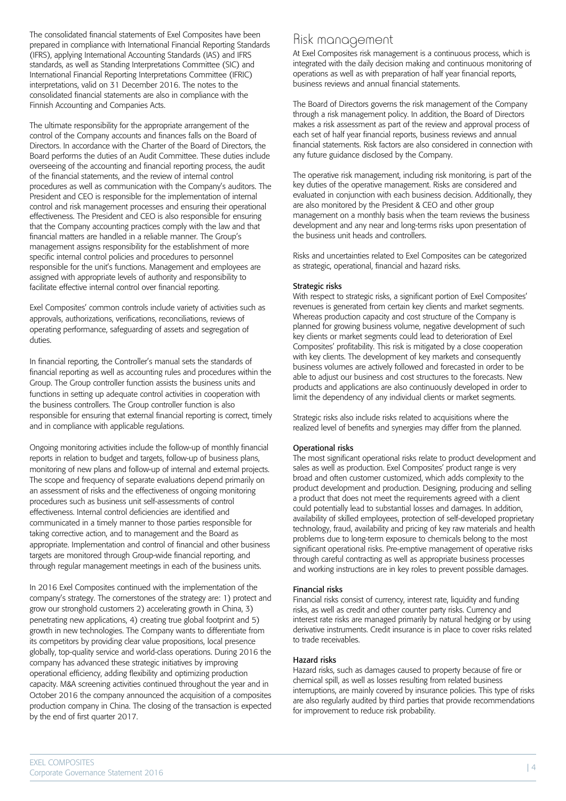The consolidated financial statements of Exel Composites have been prepared in compliance with International Financial Reporting Standards (IFRS), applying International Accounting Standards (IAS) and IFRS standards, as well as Standing Interpretations Committee (SIC) and International Financial Reporting Interpretations Committee (IFRIC) interpretations, valid on 31 December 2016. The notes to the consolidated financial statements are also in compliance with the Finnish Accounting and Companies Acts.

The ultimate responsibility for the appropriate arrangement of the control of the Company accounts and finances falls on the Board of Directors. In accordance with the Charter of the Board of Directors, the Board performs the duties of an Audit Committee. These duties include overseeing of the accounting and financial reporting process, the audit of the financial statements, and the review of internal control procedures as well as communication with the Company's auditors. The President and CEO is responsible for the implementation of internal control and risk management processes and ensuring their operational effectiveness. The President and CEO is also responsible for ensuring that the Company accounting practices comply with the law and that financial matters are handled in a reliable manner. The Group's management assigns responsibility for the establishment of more specific internal control policies and procedures to personnel responsible for the unit's functions. Management and employees are assigned with appropriate levels of authority and responsibility to facilitate effective internal control over financial reporting.

Exel Composites' common controls include variety of activities such as approvals, authorizations, verifications, reconciliations, reviews of operating performance, safeguarding of assets and segregation of duties.

In financial reporting, the Controller's manual sets the standards of financial reporting as well as accounting rules and procedures within the Group. The Group controller function assists the business units and functions in setting up adequate control activities in cooperation with the business controllers. The Group controller function is also responsible for ensuring that external financial reporting is correct, timely and in compliance with applicable regulations.

Ongoing monitoring activities include the follow-up of monthly financial reports in relation to budget and targets, follow-up of business plans, monitoring of new plans and follow-up of internal and external projects. The scope and frequency of separate evaluations depend primarily on an assessment of risks and the effectiveness of ongoing monitoring procedures such as business unit self-assessments of control effectiveness. Internal control deficiencies are identified and communicated in a timely manner to those parties responsible for taking corrective action, and to management and the Board as appropriate. Implementation and control of financial and other business targets are monitored through Group-wide financial reporting, and through regular management meetings in each of the business units.

In 2016 Exel Composites continued with the implementation of the company's strategy. The cornerstones of the strategy are: 1) protect and grow our stronghold customers 2) accelerating growth in China, 3) penetrating new applications, 4) creating true global footprint and 5) growth in new technologies. The Company wants to differentiate from its competitors by providing clear value propositions, local presence globally, top-quality service and world-class operations. During 2016 the company has advanced these strategic initiatives by improving operational efficiency, adding flexibility and optimizing production capacity. M&A screening activities continued throughout the year and in October 2016 the company announced the acquisition of a composites production company in China. The closing of the transaction is expected by the end of first quarter 2017.

## Risk management

At Exel Composites risk management is a continuous process, which is integrated with the daily decision making and continuous monitoring of operations as well as with preparation of half year financial reports, business reviews and annual financial statements.

The Board of Directors governs the risk management of the Company through a risk management policy. In addition, the Board of Directors makes a risk assessment as part of the review and approval process of each set of half year financial reports, business reviews and annual financial statements. Risk factors are also considered in connection with any future guidance disclosed by the Company.

The operative risk management, including risk monitoring, is part of the key duties of the operative management. Risks are considered and evaluated in conjunction with each business decision. Additionally, they are also monitored by the President & CEO and other group management on a monthly basis when the team reviews the business development and any near and long-terms risks upon presentation of the business unit heads and controllers.

Risks and uncertainties related to Exel Composites can be categorized as strategic, operational, financial and hazard risks.

#### Strategic risks

With respect to strategic risks, a significant portion of Exel Composites' revenues is generated from certain key clients and market segments. Whereas production capacity and cost structure of the Company is planned for growing business volume, negative development of such key clients or market segments could lead to deterioration of Exel Composites' profitability. This risk is mitigated by a close cooperation with key clients. The development of key markets and consequently business volumes are actively followed and forecasted in order to be able to adjust our business and cost structures to the forecasts. New products and applications are also continuously developed in order to limit the dependency of any individual clients or market segments.

Strategic risks also include risks related to acquisitions where the realized level of benefits and synergies may differ from the planned.

#### Operational risks

The most significant operational risks relate to product development and sales as well as production. Exel Composites' product range is very broad and often customer customized, which adds complexity to the product development and production. Designing, producing and selling a product that does not meet the requirements agreed with a client could potentially lead to substantial losses and damages. In addition, availability of skilled employees, protection of self-developed proprietary technology, fraud, availability and pricing of key raw materials and health problems due to long-term exposure to chemicals belong to the most significant operational risks. Pre-emptive management of operative risks through careful contracting as well as appropriate business processes and working instructions are in key roles to prevent possible damages.

#### Financial risks

Financial risks consist of currency, interest rate, liquidity and funding risks, as well as credit and other counter party risks. Currency and interest rate risks are managed primarily by natural hedging or by using derivative instruments. Credit insurance is in place to cover risks related to trade receivables.

#### Hazard risks

Hazard risks, such as damages caused to property because of fire or chemical spill, as well as losses resulting from related business interruptions, are mainly covered by insurance policies. This type of risks are also regularly audited by third parties that provide recommendations for improvement to reduce risk probability.